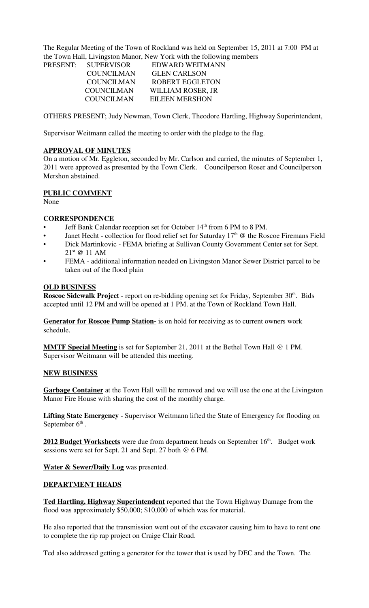The Regular Meeting of the Town of Rockland was held on September 15, 2011 at 7:00 PM at the Town Hall, Livingston Manor, New York with the following members

| <b>PRESENT:</b> | <b>SUPERVISOR</b> | EDWARD WEITMANN        |
|-----------------|-------------------|------------------------|
|                 | <b>COUNCILMAN</b> | <b>GLEN CARLSON</b>    |
|                 | <b>COUNCILMAN</b> | <b>ROBERT EGGLETON</b> |
|                 | <b>COUNCILMAN</b> | WILLIAM ROSER, JR      |
|                 | COUNCILMAN        | <b>EILEEN MERSHON</b>  |
|                 |                   |                        |

OTHERS PRESENT; Judy Newman, Town Clerk, Theodore Hartling, Highway Superintendent,

Supervisor Weitmann called the meeting to order with the pledge to the flag.

## **APPROVAL OF MINUTES**

On a motion of Mr. Eggleton, seconded by Mr. Carlson and carried, the minutes of September 1, 2011 were approved as presented by the Town Clerk. Councilperson Roser and Councilperson Mershon abstained.

## **PUBLIC COMMENT**

None

## **CORRESPONDENCE**

- Jeff Bank Calendar reception set for October 14<sup>th</sup> from 6 PM to 8 PM.
- Janet Hecht collection for flood relief set for Saturday 17<sup>th</sup> @ the Roscoe Firemans Field
- Dick Martinkovic FEMA briefing at Sullivan County Government Center set for Sept. 21st @ 11 AM
- FEMA additional information needed on Livingston Manor Sewer District parcel to be taken out of the flood plain

## **OLD BUSINESS**

**Roscoe Sidewalk Project** - report on re-bidding opening set for Friday, September 30<sup>th</sup>. Bids accepted until 12 PM and will be opened at 1 PM. at the Town of Rockland Town Hall.

**Generator for Roscoe Pump Station-** is on hold for receiving as to current owners work schedule.

**MMTF Special Meeting** is set for September 21, 2011 at the Bethel Town Hall @ 1 PM. Supervisor Weitmann will be attended this meeting.

## **NEW BUSINESS**

**Garbage Container** at the Town Hall will be removed and we will use the one at the Livingston Manor Fire House with sharing the cost of the monthly charge.

**Lifting State Emergency** - Supervisor Weitmann lifted the State of Emergency for flooding on September  $6<sup>th</sup>$ .

**2012 Budget Worksheets** were due from department heads on September 16<sup>th</sup>. Budget work sessions were set for Sept. 21 and Sept. 27 both @ 6 PM.

**Water & Sewer/Daily Log** was presented.

#### **DEPARTMENT HEADS**

**Ted Hartling, Highway Superintendent** reported that the Town Highway Damage from the flood was approximately \$50,000; \$10,000 of which was for material.

He also reported that the transmission went out of the excavator causing him to have to rent one to complete the rip rap project on Craige Clair Road.

Ted also addressed getting a generator for the tower that is used by DEC and the Town. The